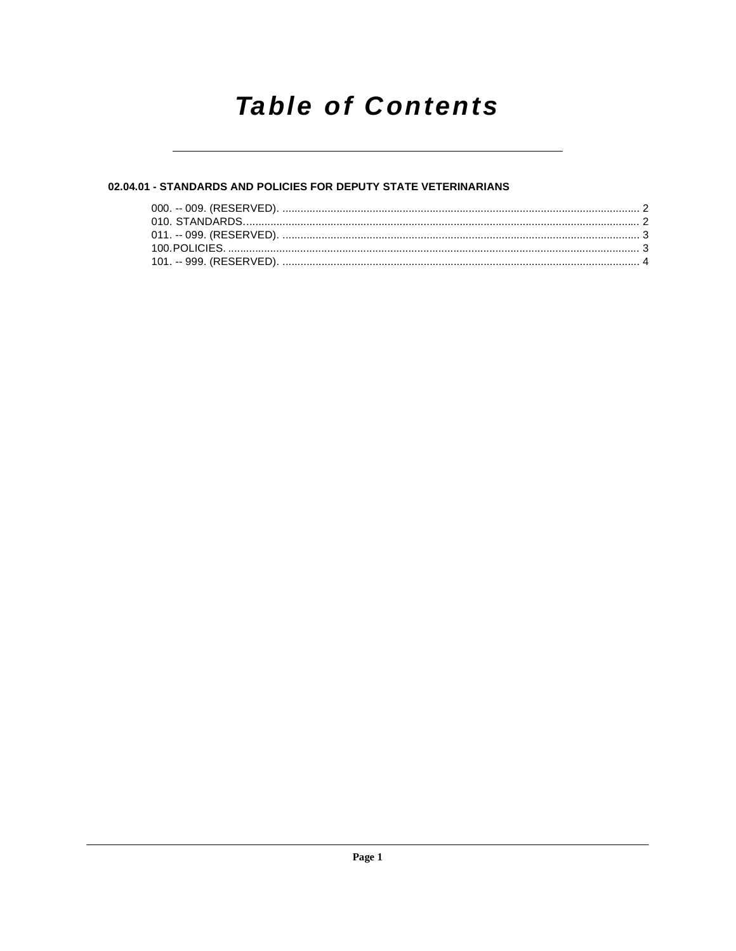## **Table of Contents**

#### 02.04.01 - STANDARDS AND POLICIES FOR DEPUTY STATE VETERINARIANS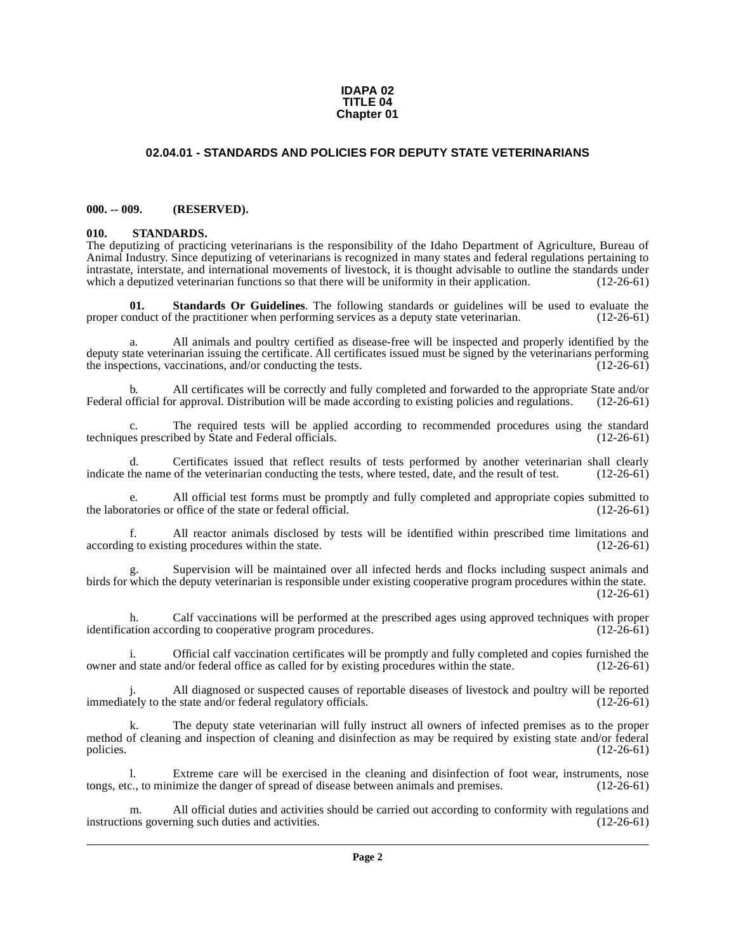#### **IDAPA 02 TITLE 04 Chapter 01**

#### **02.04.01 - STANDARDS AND POLICIES FOR DEPUTY STATE VETERINARIANS**

#### <span id="page-1-1"></span><span id="page-1-0"></span>**000. -- 009. (RESERVED).**

#### <span id="page-1-4"></span><span id="page-1-2"></span>**010. STANDARDS.**

The deputizing of practicing veterinarians is the responsibility of the Idaho Department of Agriculture, Bureau of Animal Industry. Since deputizing of veterinarians is recognized in many states and federal regulations pertaining to intrastate, interstate, and international movements of livestock, it is thought advisable to outline the standards under which a deputized veterinarian functions so that there will be uniformity in their application. (12-26-61)

<span id="page-1-3"></span>**01. Standards Or Guidelines**. The following standards or guidelines will be used to evaluate the practitioner when performing services as a deputy state veterinarian. (12-26-61) proper conduct of the practitioner when performing services as a deputy state veterinarian.

All animals and poultry certified as disease-free will be inspected and properly identified by the deputy state veterinarian issuing the certificate. All certificates issued must be signed by the veterinarians performing<br>the inspections, vaccinations, and/or conducting the tests. (12-26-61) the inspections, vaccinations, and/or conducting the tests.

b. All certificates will be correctly and fully completed and forwarded to the appropriate State and/or official for approval. Distribution will be made according to existing policies and regulations. (12-26-61) Federal official for approval. Distribution will be made according to existing policies and regulations.

c. The required tests will be applied according to recommended procedures using the standard es prescribed by State and Federal officials. (12-26-61) techniques prescribed by State and Federal officials.

d. Certificates issued that reflect results of tests performed by another veterinarian shall clearly the name of the veterinarian conducting the tests, where tested, date, and the result of test. (12-26-61) indicate the name of the veterinarian conducting the tests, where tested, date, and the result of test.

e. All official test forms must be promptly and fully completed and appropriate copies submitted to the laboratories or office of the state or federal official. (12-26-61)

f. All reactor animals disclosed by tests will be identified within prescribed time limitations and according to existing procedures within the state. (12-26-61)

Supervision will be maintained over all infected herds and flocks including suspect animals and birds for which the deputy veterinarian is responsible under existing cooperative program procedures within the state. (12-26-61)

h. Calf vaccinations will be performed at the prescribed ages using approved techniques with proper identification according to cooperative program procedures. (12-26-61)

i. Official calf vaccination certificates will be promptly and fully completed and copies furnished the d state and/or federal office as called for by existing procedures within the state. (12-26-61) owner and state and/or federal office as called for by existing procedures within the state.

All diagnosed or suspected causes of reportable diseases of livestock and poultry will be reported<br>e state and/or federal regulatory officials. (12-26-61) immediately to the state and/or federal regulatory officials.

The deputy state veterinarian will fully instruct all owners of infected premises as to the proper method of cleaning and inspection of cleaning and disinfection as may be required by existing state and/or federal policies. (12-26-61)

l. Extreme care will be exercised in the cleaning and disinfection of foot wear, instruments, nose tongs, etc., to minimize the danger of spread of disease between animals and premises.

All official duties and activities should be carried out according to conformity with regulations and ning such duties and activities. (12-26-61) instructions governing such duties and activities.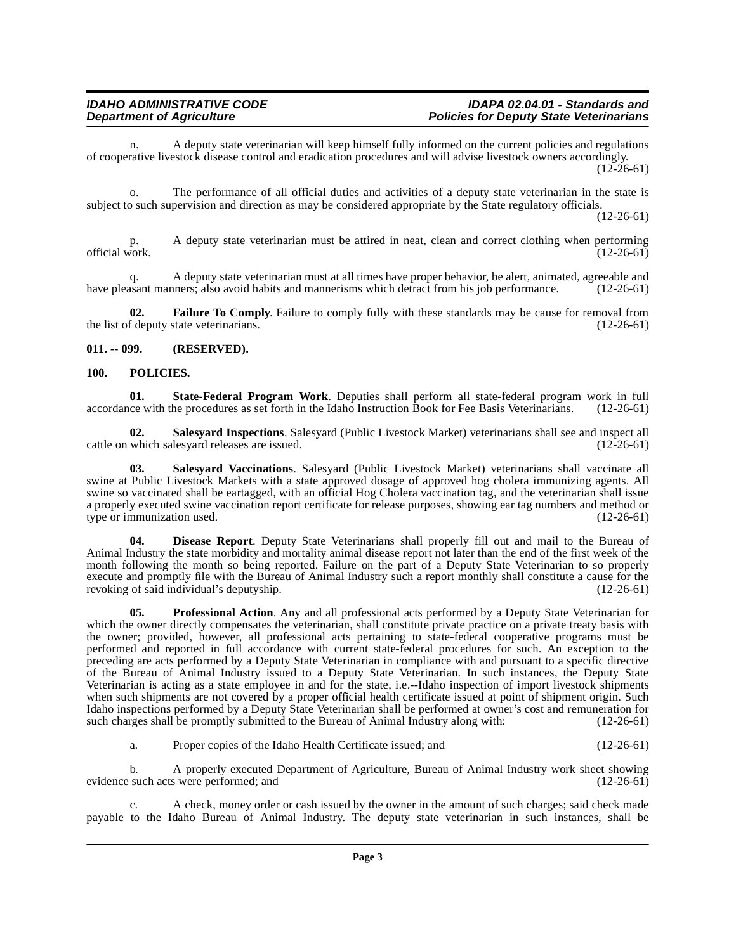n. A deputy state veterinarian will keep himself fully informed on the current policies and regulations of cooperative livestock disease control and eradication procedures and will advise livestock owners accordingly.  $(12-26-61)$ 

o. The performance of all official duties and activities of a deputy state veterinarian in the state is subject to such supervision and direction as may be considered appropriate by the State regulatory officials.

(12-26-61)

p. A deputy state veterinarian must be attired in neat, clean and correct clothing when performing official work. (12-26-61) official work.  $(12-26-61)$ 

q. A deputy state veterinarian must at all times have proper behavior, be alert, animated, agreeable and assant manners; also avoid habits and mannerisms which detract from his job performance. (12-26-61) have pleasant manners; also avoid habits and mannerisms which detract from his job performance.

<span id="page-2-3"></span>**02. Failure To Comply**. Failure to comply fully with these standards may be cause for removal from f deputy state veterinarians. (12-26-61) the list of deputy state veterinarians.

#### <span id="page-2-0"></span>**011. -- 099. (RESERVED).**

#### <span id="page-2-4"></span><span id="page-2-1"></span>**100. POLICIES.**

<span id="page-2-8"></span>**01.** State-Federal Program Work. Deputies shall perform all state-federal program work in full ince with the procedures as set forth in the Idaho Instruction Book for Fee Basis Veterinarians. (12-26-61) accordance with the procedures as set forth in the Idaho Instruction Book for Fee Basis Veterinarians.

<span id="page-2-6"></span>**02. Salesyard Inspections**. Salesyard (Public Livestock Market) veterinarians shall see and inspect all cattle on which salesyard releases are issued.

<span id="page-2-7"></span>**03. Salesyard Vaccinations**. Salesyard (Public Livestock Market) veterinarians shall vaccinate all swine at Public Livestock Markets with a state approved dosage of approved hog cholera immunizing agents. All swine so vaccinated shall be eartagged, with an official Hog Cholera vaccination tag, and the veterinarian shall issue a properly executed swine vaccination report certificate for release purposes, showing ear tag numbers and method or type or immunization used. (12-26-61)

<span id="page-2-2"></span>**04. Disease Report**. Deputy State Veterinarians shall properly fill out and mail to the Bureau of Animal Industry the state morbidity and mortality animal disease report not later than the end of the first week of the month following the month so being reported. Failure on the part of a Deputy State Veterinarian to so properly execute and promptly file with the Bureau of Animal Industry such a report monthly shall constitute a cause for the revoking of said individual's deputyship. (12-26-61)

<span id="page-2-5"></span>**05. Professional Action**. Any and all professional acts performed by a Deputy State Veterinarian for which the owner directly compensates the veterinarian, shall constitute private practice on a private treaty basis with the owner; provided, however, all professional acts pertaining to state-federal cooperative programs must be performed and reported in full accordance with current state-federal procedures for such. An exception to the preceding are acts performed by a Deputy State Veterinarian in compliance with and pursuant to a specific directive of the Bureau of Animal Industry issued to a Deputy State Veterinarian. In such instances, the Deputy State Veterinarian is acting as a state employee in and for the state, i.e.--Idaho inspection of import livestock shipments when such shipments are not covered by a proper official health certificate issued at point of shipment origin. Such Idaho inspections performed by a Deputy State Veterinarian shall be performed at owner's cost and remuneration for such charges shall be promptly submitted to the Bureau of Animal Industry along with: (12-26-61) such charges shall be promptly submitted to the Bureau of Animal Industry along with:

a. Proper copies of the Idaho Health Certificate issued; and (12-26-61)

b. A properly executed Department of Agriculture, Bureau of Animal Industry work sheet showing evidence such acts were performed; and

c. A check, money order or cash issued by the owner in the amount of such charges; said check made payable to the Idaho Bureau of Animal Industry. The deputy state veterinarian in such instances, shall be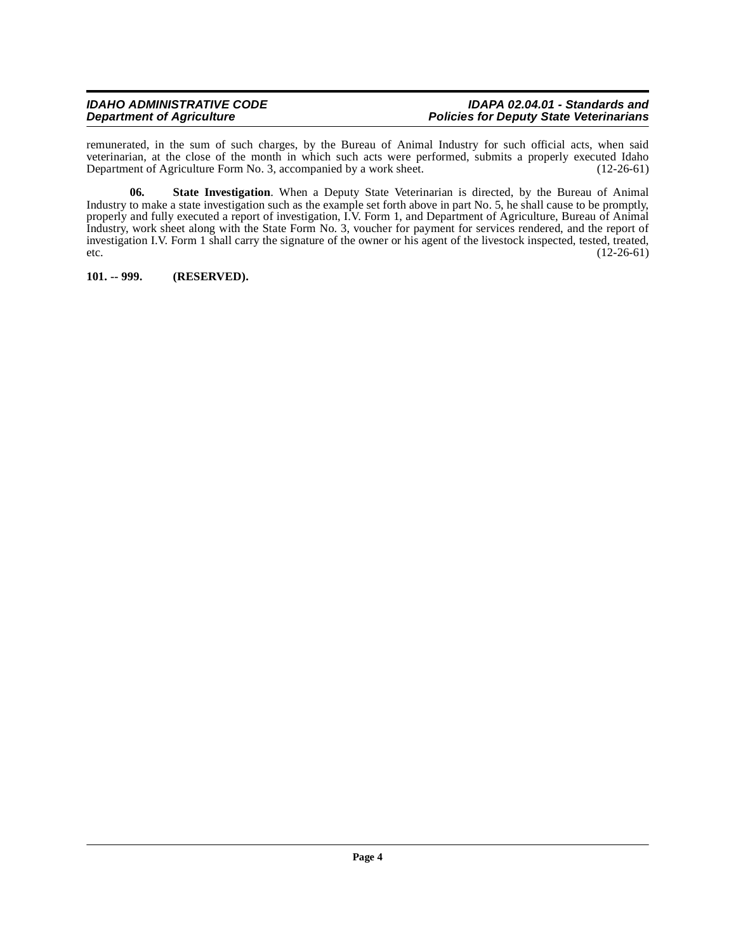#### **IDAHO ADMINISTRATIVE CODE IDAPA 02.04.01 - Standards and Policies for Deputy State Veterinarians**

remunerated, in the sum of such charges, by the Bureau of Animal Industry for such official acts, when said veterinarian, at the close of the month in which such acts were performed, submits a properly executed Idaho<br>Department of Agriculture Form No. 3, accompanied by a work sheet. (12-26-61) Department of Agriculture Form No. 3, accompanied by a work sheet.

<span id="page-3-1"></span>**06. State Investigation**. When a Deputy State Veterinarian is directed, by the Bureau of Animal Industry to make a state investigation such as the example set forth above in part No. 5, he shall cause to be promptly, properly and fully executed a report of investigation, I.V. Form 1, and Department of Agriculture, Bureau of Animal Industry, work sheet along with the State Form No. 3, voucher for payment for services rendered, and the report of investigation I.V. Form 1 shall carry the signature of the owner or his agent of the livestock inspected, tested, treated, etc.  $(12-26-61)$ 

<span id="page-3-0"></span>**101. -- 999. (RESERVED).**